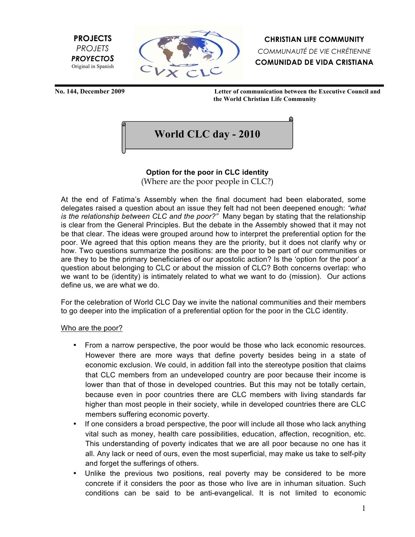



**CHRISTIAN LIFE COMMUNITY** *COMMUNAUTÉ DE VIE CHRÉTIENNE* **COMUNIDAD DE VIDA CRISTIANA**

**No. 144, December 2009 Letter of communication between the Executive Council and the World Christian Life Community**



# **Option for the poor in CLC identity**

(Where are the poor people in CLC?)

At the end of Fatima's Assembly when the final document had been elaborated, some delegates raised a question about an issue they felt had not been deepened enough: *"what is the relationship between CLC and the poor?"* Many began by stating that the relationship is clear from the General Principles. But the debate in the Assembly showed that it may not be that clear. The ideas were grouped around how to interpret the preferential option for the poor. We agreed that this option means they are the priority, but it does not clarify why or how. Two questions summarize the positions: are the poor to be part of our communities or are they to be the primary beneficiaries of our apostolic action? Is the 'option for the poor' a question about belonging to CLC or about the mission of CLC? Both concerns overlap: who we want to be (identity) is intimately related to what we want to do (mission). Our actions define us, we are what we do.

For the celebration of World CLC Day we invite the national communities and their members to go deeper into the implication of a preferential option for the poor in the CLC identity.

#### Who are the poor?

- From a narrow perspective, the poor would be those who lack economic resources. However there are more ways that define poverty besides being in a state of economic exclusion. We could, in addition fall into the stereotype position that claims that CLC members from an undeveloped country are poor because their income is lower than that of those in developed countries. But this may not be totally certain, because even in poor countries there are CLC members with living standards far higher than most people in their society, while in developed countries there are CLC members suffering economic poverty.
- If one considers a broad perspective, the poor will include all those who lack anything vital such as money, health care possibilities, education, affection, recognition, etc. This understanding of poverty indicates that we are all poor because no one has it all. Any lack or need of ours, even the most superficial, may make us take to self-pity and forget the sufferings of others.
- Unlike the previous two positions, real poverty may be considered to be more concrete if it considers the poor as those who live are in inhuman situation. Such conditions can be said to be anti-evangelical. It is not limited to economic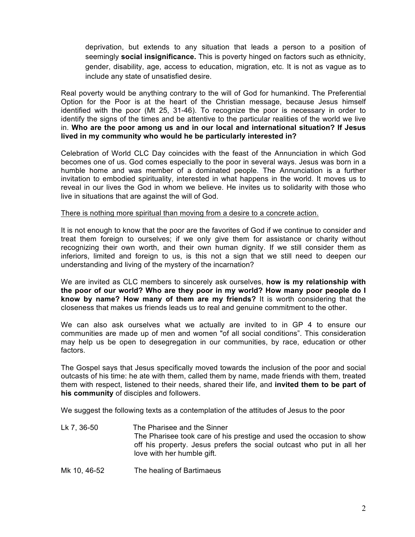deprivation, but extends to any situation that leads a person to a position of seemingly **social insignificance.** This is poverty hinged on factors such as ethnicity, gender, disability, age, access to education, migration, etc. It is not as vague as to include any state of unsatisfied desire.

Real poverty would be anything contrary to the will of God for humankind. The Preferential Option for the Poor is at the heart of the Christian message, because Jesus himself identified with the poor (Mt 25, 31-46). To recognize the poor is necessary in order to identify the signs of the times and be attentive to the particular realities of the world we live in. **Who are the poor among us and in our local and international situation? If Jesus lived in my community who would he be particularly interested in?**

Celebration of World CLC Day coincides with the feast of the Annunciation in which God becomes one of us. God comes especially to the poor in several ways. Jesus was born in a humble home and was member of a dominated people. The Annunciation is a further invitation to embodied spirituality, interested in what happens in the world. It moves us to reveal in our lives the God in whom we believe. He invites us to solidarity with those who live in situations that are against the will of God.

#### There is nothing more spiritual than moving from a desire to a concrete action.

It is not enough to know that the poor are the favorites of God if we continue to consider and treat them foreign to ourselves; if we only give them for assistance or charity without recognizing their own worth, and their own human dignity. If we still consider them as inferiors, limited and foreign to us, is this not a sign that we still need to deepen our understanding and living of the mystery of the incarnation?

We are invited as CLC members to sincerely ask ourselves, **how is my relationship with the poor of our world? Who are they poor in my world? How many poor people do I know by name? How many of them are my friends?** It is worth considering that the closeness that makes us friends leads us to real and genuine commitment to the other.

We can also ask ourselves what we actually are invited to in GP 4 to ensure our communities are made up of men and women "of all social conditions". This consideration may help us be open to desegregation in our communities, by race, education or other factors.

The Gospel says that Jesus specifically moved towards the inclusion of the poor and social outcasts of his time: he ate with them, called them by name, made friends with them, treated them with respect, listened to their needs, shared their life, and **invited them to be part of his community** of disciples and followers.

We suggest the following texts as a contemplation of the attitudes of Jesus to the poor

- Lk 7, 36-50 The Pharisee and the Sinner The Pharisee took care of his prestige and used the occasion to show off his property. Jesus prefers the social outcast who put in all her love with her humble gift.
- Mk 10, 46-52 The healing of Bartimaeus